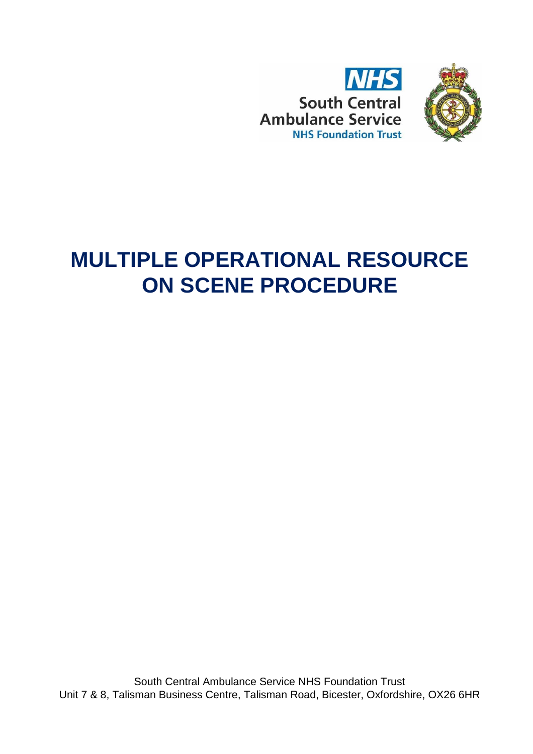



# **MULTIPLE OPERATIONAL RESOURCE ON SCENE PROCEDURE**

South Central Ambulance Service NHS Foundation Trust Unit 7 & 8, Talisman Business Centre, Talisman Road, Bicester, Oxfordshire, OX26 6HR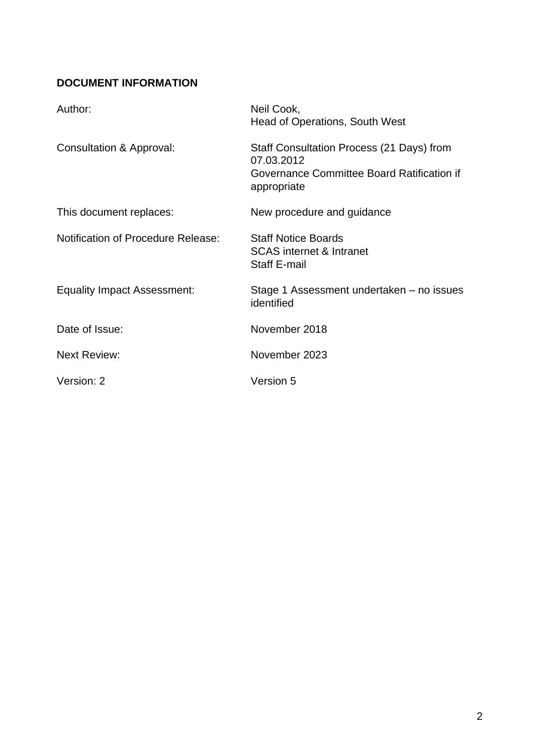## **DOCUMENT INFORMATION**

| Author:                                   | Neil Cook,<br><b>Head of Operations, South West</b>                                                                  |
|-------------------------------------------|----------------------------------------------------------------------------------------------------------------------|
| Consultation & Approval:                  | Staff Consultation Process (21 Days) from<br>07.03.2012<br>Governance Committee Board Ratification if<br>appropriate |
| This document replaces:                   | New procedure and guidance                                                                                           |
| <b>Notification of Procedure Release:</b> | <b>Staff Notice Boards</b><br><b>SCAS</b> internet & Intranet<br><b>Staff E-mail</b>                                 |
| <b>Equality Impact Assessment:</b>        | Stage 1 Assessment undertaken – no issues<br>identified                                                              |
| Date of Issue:                            | November 2018                                                                                                        |
| <b>Next Review:</b>                       | November 2023                                                                                                        |
| Version: 2                                | <b>Version 5</b>                                                                                                     |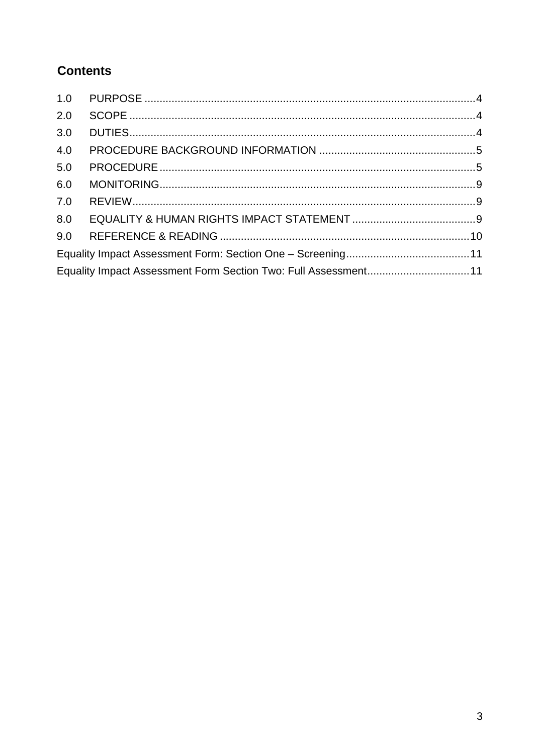# **Contents**

| Equality Impact Assessment Form Section Two: Full Assessment11 |
|----------------------------------------------------------------|
|                                                                |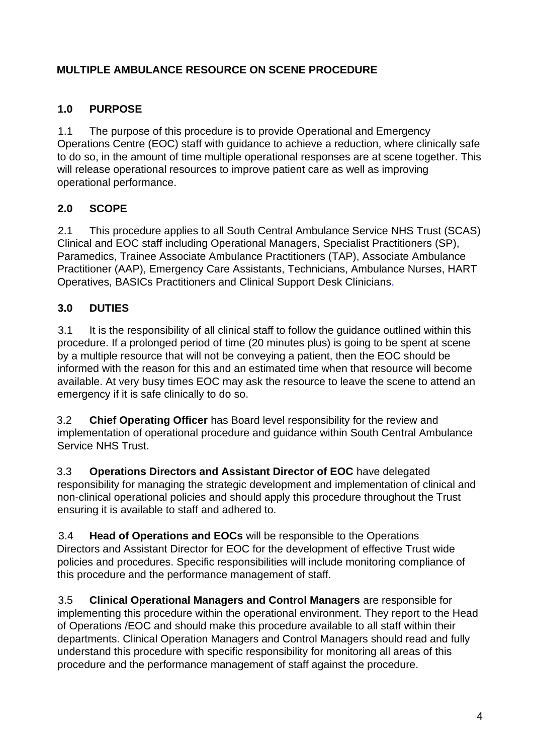## **MULTIPLE AMBULANCE RESOURCE ON SCENE PROCEDURE**

## <span id="page-3-0"></span>**1.0 PURPOSE**

1.1 The purpose of this procedure is to provide Operational and Emergency Operations Centre (EOC) staff with guidance to achieve a reduction, where clinically safe to do so, in the amount of time multiple operational responses are at scene together. This will release operational resources to improve patient care as well as improving operational performance.

## <span id="page-3-1"></span>**2.0 SCOPE**

2.1 This procedure applies to all South Central Ambulance Service NHS Trust (SCAS) Clinical and EOC staff including Operational Managers, Specialist Practitioners (SP), Paramedics, Trainee Associate Ambulance Practitioners (TAP), Associate Ambulance Practitioner (AAP), Emergency Care Assistants, Technicians, Ambulance Nurses, HART Operatives, BASICs Practitioners and Clinical Support Desk Clinicians.

## <span id="page-3-2"></span>**3.0 DUTIES**

3.1 It is the responsibility of all clinical staff to follow the guidance outlined within this procedure. If a prolonged period of time (20 minutes plus) is going to be spent at scene by a multiple resource that will not be conveying a patient, then the EOC should be informed with the reason for this and an estimated time when that resource will become available. At very busy times EOC may ask the resource to leave the scene to attend an emergency if it is safe clinically to do so.

3.2 **Chief Operating Officer** has Board level responsibility for the review and implementation of operational procedure and guidance within South Central Ambulance Service NHS Trust.

3.3 **Operations Directors and Assistant Director of EOC** have delegated responsibility for managing the strategic development and implementation of clinical and non-clinical operational policies and should apply this procedure throughout the Trust ensuring it is available to staff and adhered to.

3.4 **Head of Operations and EOCs** will be responsible to the Operations Directors and Assistant Director for EOC for the development of effective Trust wide policies and procedures. Specific responsibilities will include monitoring compliance of this procedure and the performance management of staff.

3.5 **Clinical Operational Managers and Control Managers** are responsible for implementing this procedure within the operational environment. They report to the Head of Operations /EOC and should make this procedure available to all staff within their departments. Clinical Operation Managers and Control Managers should read and fully understand this procedure with specific responsibility for monitoring all areas of this procedure and the performance management of staff against the procedure.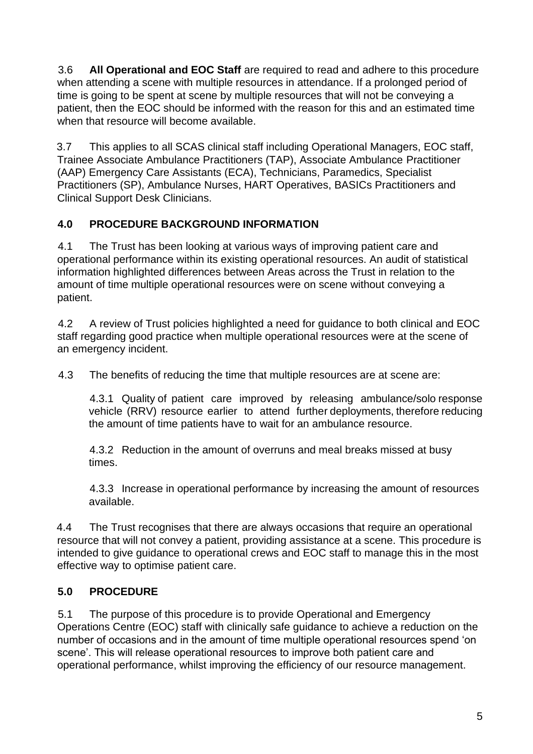3.6 **All Operational and EOC Staff** are required to read and adhere to this procedure when attending a scene with multiple resources in attendance. If a prolonged period of time is going to be spent at scene by multiple resources that will not be conveying a patient, then the EOC should be informed with the reason for this and an estimated time when that resource will become available.

3.7 This applies to all SCAS clinical staff including Operational Managers, EOC staff, Trainee Associate Ambulance Practitioners (TAP), Associate Ambulance Practitioner (AAP) Emergency Care Assistants (ECA), Technicians, Paramedics, Specialist Practitioners (SP), Ambulance Nurses, HART Operatives, BASICs Practitioners and Clinical Support Desk Clinicians.

## <span id="page-4-0"></span>**4.0 PROCEDURE BACKGROUND INFORMATION**

4.1 The Trust has been looking at various ways of improving patient care and operational performance within its existing operational resources. An audit of statistical information highlighted differences between Areas across the Trust in relation to the amount of time multiple operational resources were on scene without conveying a patient.

4.2 A review of Trust policies highlighted a need for guidance to both clinical and EOC staff regarding good practice when multiple operational resources were at the scene of an emergency incident.

4.3 The benefits of reducing the time that multiple resources are at scene are:

4.3.1 Quality of patient care improved by releasing ambulance/solo response vehicle (RRV) resource earlier to attend further deployments, therefore reducing the amount of time patients have to wait for an ambulance resource.

4.3.2 Reduction in the amount of overruns and meal breaks missed at busy times.

4.3.3 Increase in operational performance by increasing the amount of resources available.

4.4 The Trust recognises that there are always occasions that require an operational resource that will not convey a patient, providing assistance at a scene. This procedure is intended to give guidance to operational crews and EOC staff to manage this in the most effective way to optimise patient care.

# <span id="page-4-1"></span>**5.0 PROCEDURE**

5.1 The purpose of this procedure is to provide Operational and Emergency Operations Centre (EOC) staff with clinically safe guidance to achieve a reduction on the number of occasions and in the amount of time multiple operational resources spend 'on scene'. This will release operational resources to improve both patient care and operational performance, whilst improving the efficiency of our resource management.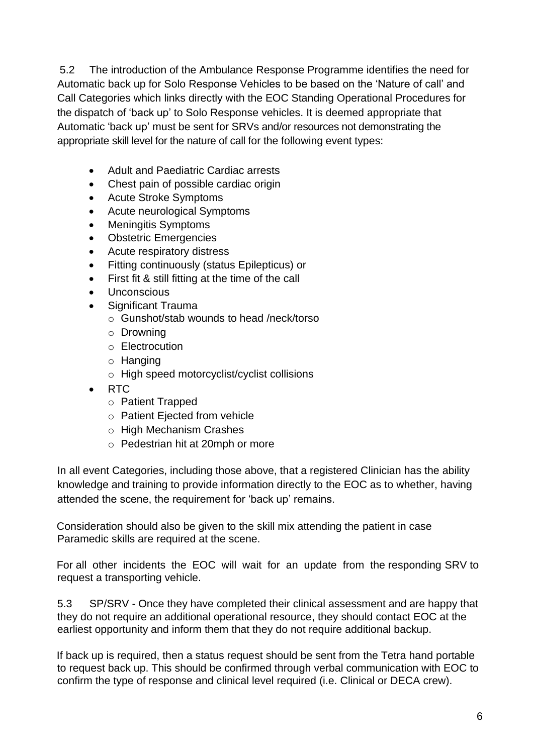5.2 The introduction of the Ambulance Response Programme identifies the need for Automatic back up for Solo Response Vehicles to be based on the 'Nature of call' and Call Categories which links directly with the EOC Standing Operational Procedures for the dispatch of 'back up' to Solo Response vehicles. It is deemed appropriate that Automatic 'back up' must be sent for SRVs and/or resources not demonstrating the appropriate skill level for the nature of call for the following event types:

- Adult and Paediatric Cardiac arrests
- Chest pain of possible cardiac origin
- Acute Stroke Symptoms
- Acute neurological Symptoms
- Meningitis Symptoms
- Obstetric Emergencies
- Acute respiratory distress
- Fitting continuously (status Epilepticus) or
- First fit & still fitting at the time of the call
- **Unconscious**
- Significant Trauma
	- o Gunshot/stab wounds to head /neck/torso
	- o Drowning
	- o Electrocution
	- o Hanging
	- o High speed motorcyclist/cyclist collisions
- RTC
	- o Patient Trapped
	- o Patient Ejected from vehicle
	- o High Mechanism Crashes
	- o Pedestrian hit at 20mph or more

In all event Categories, including those above, that a registered Clinician has the ability knowledge and training to provide information directly to the EOC as to whether, having attended the scene, the requirement for 'back up' remains.

Consideration should also be given to the skill mix attending the patient in case Paramedic skills are required at the scene.

For all other incidents the EOC will wait for an update from the responding SRV to request a transporting vehicle.

5.3 SP/SRV - Once they have completed their clinical assessment and are happy that they do not require an additional operational resource, they should contact EOC at the earliest opportunity and inform them that they do not require additional backup.

If back up is required, then a status request should be sent from the Tetra hand portable to request back up. This should be confirmed through verbal communication with EOC to confirm the type of response and clinical level required (i.e. Clinical or DECA crew).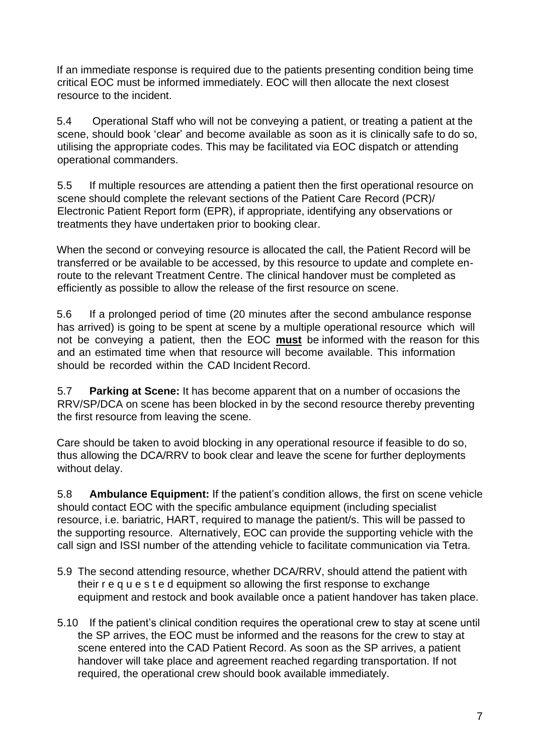If an immediate response is required due to the patients presenting condition being time critical EOC must be informed immediately. EOC will then allocate the next closest resource to the incident.

5.4 Operational Staff who will not be conveying a patient, or treating a patient at the scene, should book 'clear' and become available as soon as it is clinically safe to do so, utilising the appropriate codes. This may be facilitated via EOC dispatch or attending operational commanders.

5.5 If multiple resources are attending a patient then the first operational resource on scene should complete the relevant sections of the Patient Care Record (PCR)/ Electronic Patient Report form (EPR), if appropriate, identifying any observations or treatments they have undertaken prior to booking clear.

When the second or conveying resource is allocated the call, the Patient Record will be transferred or be available to be accessed, by this resource to update and complete enroute to the relevant Treatment Centre. The clinical handover must be completed as efficiently as possible to allow the release of the first resource on scene.

5.6 If a prolonged period of time (20 minutes after the second ambulance response has arrived) is going to be spent at scene by a multiple operational resource which will not be conveying a patient, then the EOC **must** be informed with the reason for this and an estimated time when that resource will become available. This information should be recorded within the CAD Incident Record.

5.7 **Parking at Scene:** It has become apparent that on a number of occasions the RRV/SP/DCA on scene has been blocked in by the second resource thereby preventing the first resource from leaving the scene.

Care should be taken to avoid blocking in any operational resource if feasible to do so, thus allowing the DCA/RRV to book clear and leave the scene for further deployments without delay.

5.8 **Ambulance Equipment:** If the patient's condition allows, the first on scene vehicle should contact EOC with the specific ambulance equipment (including specialist resource, i.e. bariatric, HART, required to manage the patient/s. This will be passed to the supporting resource. Alternatively, EOC can provide the supporting vehicle with the call sign and ISSI number of the attending vehicle to facilitate communication via Tetra.

- 5.9 The second attending resource, whether DCA/RRV, should attend the patient with their r e q u e s t e d equipment so allowing the first response to exchange equipment and restock and book available once a patient handover has taken place.
- 5.10 If the patient's clinical condition requires the operational crew to stay at scene until the SP arrives, the EOC must be informed and the reasons for the crew to stay at scene entered into the CAD Patient Record. As soon as the SP arrives, a patient handover will take place and agreement reached regarding transportation. If not required, the operational crew should book available immediately.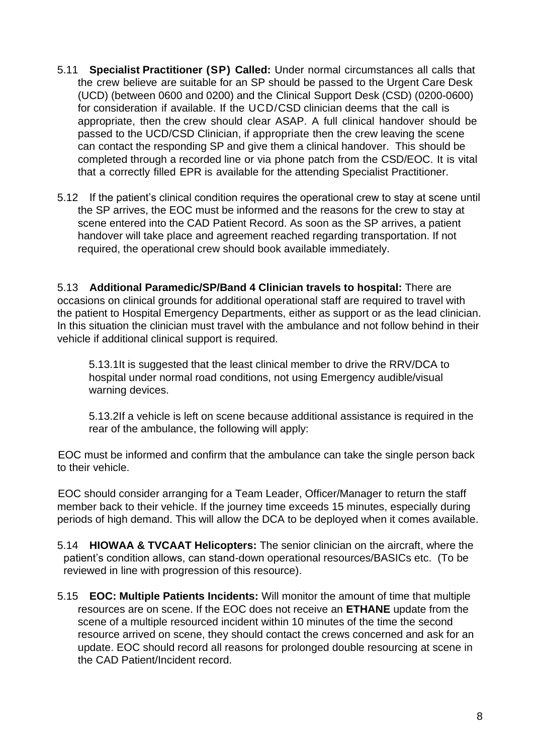- 5.11 **Specialist Practitioner (SP) Called:** Under normal circumstances all calls that the crew believe are suitable for an SP should be passed to the Urgent Care Desk (UCD) (between 0600 and 0200) and the Clinical Support Desk (CSD) (0200-0600) for consideration if available. If the UCD/CSD clinician deems that the call is appropriate, then the crew should clear ASAP. A full clinical handover should be passed to the UCD/CSD Clinician, if appropriate then the crew leaving the scene can contact the responding SP and give them a clinical handover. This should be completed through a recorded line or via phone patch from the CSD/EOC. It is vital that a correctly filled EPR is available for the attending Specialist Practitioner.
- 5.12 If the patient's clinical condition requires the operational crew to stay at scene until the SP arrives, the EOC must be informed and the reasons for the crew to stay at scene entered into the CAD Patient Record. As soon as the SP arrives, a patient handover will take place and agreement reached regarding transportation. If not required, the operational crew should book available immediately.

5.13 **Additional Paramedic/SP/Band 4 Clinician travels to hospital:** There are occasions on clinical grounds for additional operational staff are required to travel with the patient to Hospital Emergency Departments, either as support or as the lead clinician. In this situation the clinician must travel with the ambulance and not follow behind in their vehicle if additional clinical support is required.

5.13.1It is suggested that the least clinical member to drive the RRV/DCA to hospital under normal road conditions, not using Emergency audible/visual warning devices.

5.13.2If a vehicle is left on scene because additional assistance is required in the rear of the ambulance, the following will apply:

EOC must be informed and confirm that the ambulance can take the single person back to their vehicle.

EOC should consider arranging for a Team Leader, Officer/Manager to return the staff member back to their vehicle. If the journey time exceeds 15 minutes, especially during periods of high demand. This will allow the DCA to be deployed when it comes available.

- 5.14 **HIOWAA & TVCAAT Helicopters:** The senior clinician on the aircraft, where the patient's condition allows, can stand-down operational resources/BASICs etc. (To be reviewed in line with progression of this resource).
- 5.15 **EOC: Multiple Patients Incidents:** Will monitor the amount of time that multiple resources are on scene. If the EOC does not receive an **ETHANE** update from the scene of a multiple resourced incident within 10 minutes of the time the second resource arrived on scene, they should contact the crews concerned and ask for an update. EOC should record all reasons for prolonged double resourcing at scene in the CAD Patient/Incident record.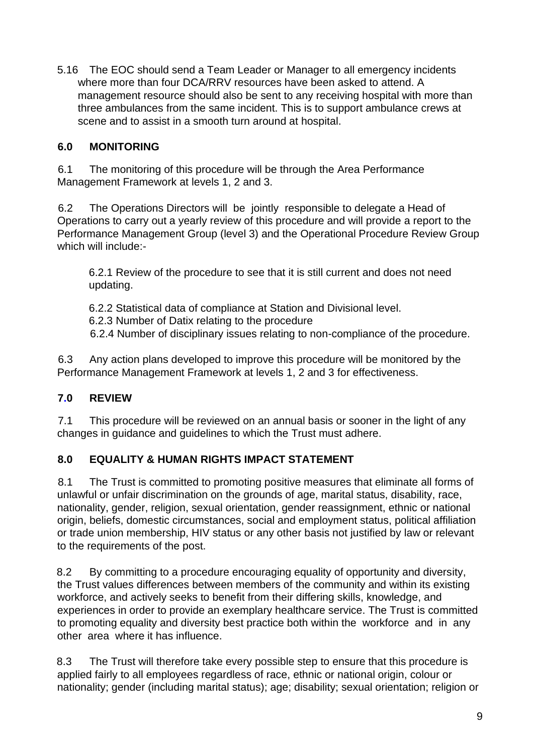5.16 The EOC should send a Team Leader or Manager to all emergency incidents where more than four DCA/RRV resources have been asked to attend. A management resource should also be sent to any receiving hospital with more than three ambulances from the same incident. This is to support ambulance crews at scene and to assist in a smooth turn around at hospital.

## <span id="page-8-0"></span>**6.0 MONITORING**

6.1 The monitoring of this procedure will be through the Area Performance Management Framework at levels 1, 2 and 3.

6.2 The Operations Directors will be jointly responsible to delegate a Head of Operations to carry out a yearly review of this procedure and will provide a report to the Performance Management Group (level 3) and the Operational Procedure Review Group which will include:-

6.2.1 Review of the procedure to see that it is still current and does not need updating.

6.2.2 Statistical data of compliance at Station and Divisional level. 6.2.3 Number of Datix relating to the procedure 6.2.4 Number of disciplinary issues relating to non-compliance of the procedure.

6.3 Any action plans developed to improve this procedure will be monitored by the Performance Management Framework at levels 1, 2 and 3 for effectiveness.

## <span id="page-8-1"></span>**7.0 REVIEW**

7.1 This procedure will be reviewed on an annual basis or sooner in the light of any changes in guidance and guidelines to which the Trust must adhere.

### <span id="page-8-2"></span>**8.0 EQUALITY & HUMAN RIGHTS IMPACT STATEMENT**

8.1 The Trust is committed to promoting positive measures that eliminate all forms of unlawful or unfair discrimination on the grounds of age, marital status, disability, race, nationality, gender, religion, sexual orientation, gender reassignment, ethnic or national origin, beliefs, domestic circumstances, social and employment status, political affiliation or trade union membership, HIV status or any other basis not justified by law or relevant to the requirements of the post.

8.2 By committing to a procedure encouraging equality of opportunity and diversity, the Trust values differences between members of the community and within its existing workforce, and actively seeks to benefit from their differing skills, knowledge, and experiences in order to provide an exemplary healthcare service. The Trust is committed to promoting equality and diversity best practice both within the workforce and in any other area where it has influence.

8.3 The Trust will therefore take every possible step to ensure that this procedure is applied fairly to all employees regardless of race, ethnic or national origin, colour or nationality; gender (including marital status); age; disability; sexual orientation; religion or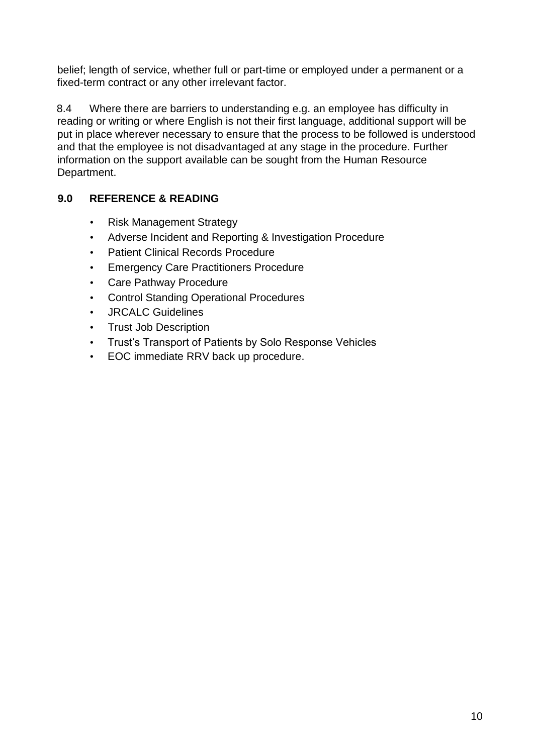belief; length of service, whether full or part-time or employed under a permanent or a fixed-term contract or any other irrelevant factor.

8.4 Where there are barriers to understanding e.g. an employee has difficulty in reading or writing or where English is not their first language, additional support will be put in place wherever necessary to ensure that the process to be followed is understood and that the employee is not disadvantaged at any stage in the procedure. Further information on the support available can be sought from the Human Resource Department.

## <span id="page-9-0"></span>**9.0 REFERENCE & READING**

- Risk Management Strategy
- Adverse Incident and Reporting & Investigation Procedure
- Patient Clinical Records Procedure
- Emergency Care Practitioners Procedure
- Care Pathway Procedure
- Control Standing Operational Procedures
- JRCALC Guidelines
- Trust Job Description
- Trust's Transport of Patients by Solo Response Vehicles
- EOC immediate RRV back up procedure.